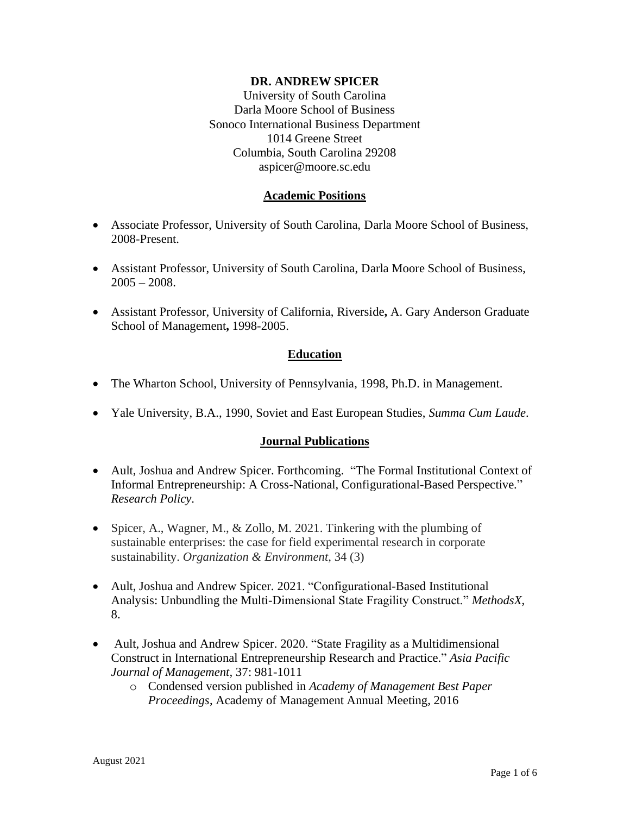#### **DR. ANDREW SPICER**

University of South Carolina Darla Moore School of Business Sonoco International Business Department 1014 Greene Street Columbia, South Carolina 29208 aspicer@moore.sc.edu

#### **Academic Positions**

- Associate Professor, University of South Carolina, Darla Moore School of Business, 2008-Present.
- Assistant Professor, University of South Carolina, Darla Moore School of Business,  $2005 - 2008$ .
- Assistant Professor, University of California, Riverside**,** A. Gary Anderson Graduate School of Management**,** 1998-2005.

#### **Education**

- The Wharton School, University of Pennsylvania, 1998, Ph.D. in Management.
- Yale University, B.A., 1990, Soviet and East European Studies, *Summa Cum Laude*.

#### **Journal Publications**

- Ault, Joshua and Andrew Spicer. Forthcoming. "The Formal Institutional Context of Informal Entrepreneurship: A Cross-National, Configurational-Based Perspective." *Research Policy*.
- Spicer, A., Wagner, M., & Zollo, M. 2021. Tinkering with the plumbing of sustainable enterprises: the case for field experimental research in corporate sustainability. *Organization & Environment*, 34 (3)
- Ault, Joshua and Andrew Spicer. 2021. "Configurational-Based Institutional Analysis: Unbundling the Multi-Dimensional State Fragility Construct." *MethodsX*, 8.
- Ault, Joshua and Andrew Spicer. 2020. "State Fragility as a Multidimensional Construct in International Entrepreneurship Research and Practice." *Asia Pacific Journal of Management,* 37: 981-1011
	- o Condensed version published in *Academy of Management Best Paper Proceedings*, Academy of Management Annual Meeting, 2016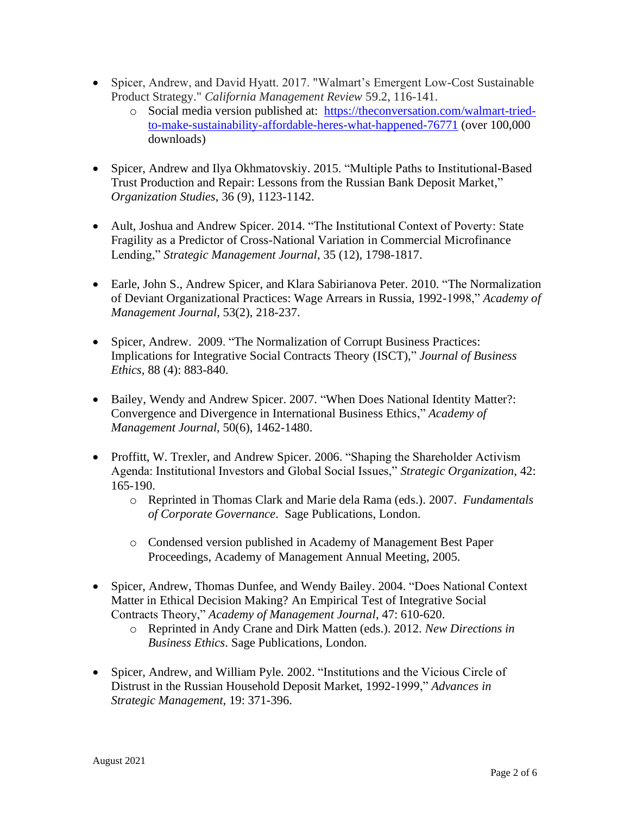- Spicer, Andrew, and David Hyatt. 2017. "Walmart's Emergent Low-Cost Sustainable Product Strategy." *California Management Review* 59.2, 116-141.
	- o Social media version published at: [https://theconversation.com/walmart-tried](https://theconversation.com/walmart-tried-to-make-sustainability-affordable-heres-what-happened-76771)[to-make-sustainability-affordable-heres-what-happened-76771](https://theconversation.com/walmart-tried-to-make-sustainability-affordable-heres-what-happened-76771) (over 100,000 downloads)
- Spicer, Andrew and Ilya Okhmatovskiy. 2015. "Multiple Paths to Institutional-Based Trust Production and Repair: Lessons from the Russian Bank Deposit Market," *Organization Studies*, 36 (9), 1123-1142.
- Ault, Joshua and Andrew Spicer. 2014. "The Institutional Context of Poverty: State Fragility as a Predictor of Cross-National Variation in Commercial Microfinance Lending," *Strategic Management Journal*, 35 (12), 1798-1817.
- Earle, John S., Andrew Spicer, and Klara Sabirianova Peter. 2010. "The Normalization of Deviant Organizational Practices: Wage Arrears in Russia, 1992-1998," *Academy of Management Journal,* 53(2), 218-237.
- Spicer, Andrew. 2009. "The Normalization of Corrupt Business Practices: Implications for Integrative Social Contracts Theory (ISCT)," *Journal of Business Ethics,* 88 (4): 883-840.
- Bailey, Wendy and Andrew Spicer. 2007. "When Does National Identity Matter?: Convergence and Divergence in International Business Ethics," *Academy of Management Journal,* 50(6), 1462-1480.
- Proffitt, W. Trexler, and Andrew Spicer. 2006. "Shaping the Shareholder Activism Agenda: Institutional Investors and Global Social Issues," *Strategic Organization*, 42: 165-190.
	- o Reprinted in Thomas Clark and Marie dela Rama (eds.). 2007. *Fundamentals of Corporate Governance*. Sage Publications, London.
	- o Condensed version published in Academy of Management Best Paper Proceedings, Academy of Management Annual Meeting, 2005.
- Spicer, Andrew, Thomas Dunfee, and Wendy Bailey. 2004. "Does National Context Matter in Ethical Decision Making? An Empirical Test of Integrative Social Contracts Theory," *Academy of Management Journal*, 47: 610-620.
	- o Reprinted in Andy Crane and Dirk Matten (eds.). 2012. *New Directions in Business Ethics*. Sage Publications, London.
- Spicer, Andrew, and William Pyle. 2002. "Institutions and the Vicious Circle of Distrust in the Russian Household Deposit Market, 1992-1999," *Advances in Strategic Management*, 19: 371-396.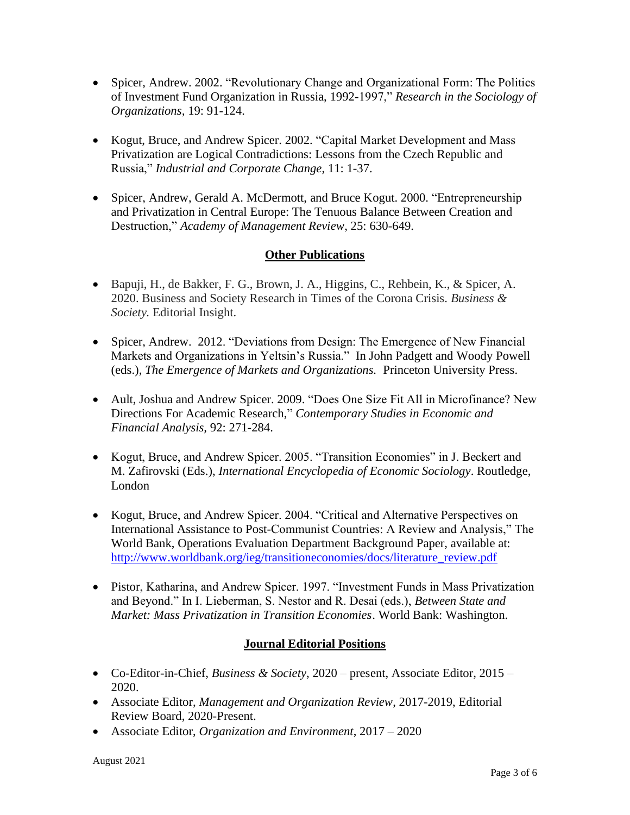- Spicer, Andrew. 2002. "Revolutionary Change and Organizational Form: The Politics of Investment Fund Organization in Russia, 1992-1997," *Research in the Sociology of Organizations,* 19: 91-124.
- Kogut, Bruce, and Andrew Spicer. 2002. "Capital Market Development and Mass Privatization are Logical Contradictions: Lessons from the Czech Republic and Russia," *Industrial and Corporate Change*, 11: 1-37.
- Spicer, Andrew, Gerald A. McDermott, and Bruce Kogut. 2000. "Entrepreneurship and Privatization in Central Europe: The Tenuous Balance Between Creation and Destruction," *Academy of Management Review*, 25: 630-649.

# **Other Publications**

- Bapuji, H., de Bakker, F. G., Brown, J. A., Higgins, C., Rehbein, K., & Spicer, A. 2020. Business and Society Research in Times of the Corona Crisis. *Business & Society.* Editorial Insight.
- Spicer, Andrew. 2012. "Deviations from Design: The Emergence of New Financial Markets and Organizations in Yeltsin's Russia." In John Padgett and Woody Powell (eds.), *The Emergence of Markets and Organizations.* Princeton University Press.
- Ault, Joshua and Andrew Spicer. 2009. "Does One Size Fit All in Microfinance? New Directions For Academic Research," *Contemporary Studies in Economic and Financial Analysis,* 92: 271-284.
- Kogut, Bruce, and Andrew Spicer. 2005. "Transition Economies" in J. Beckert and M. Zafirovski (Eds.), *International Encyclopedia of Economic Sociology*. Routledge, London
- Kogut, Bruce, and Andrew Spicer. 2004. "Critical and Alternative Perspectives on International Assistance to Post-Communist Countries: A Review and Analysis," The World Bank, Operations Evaluation Department Background Paper, available at: [http://www.worldbank.org/ieg/transitioneconomies/docs/literature\\_review.pdf](http://www.worldbank.org/ieg/transitioneconomies/docs/literature_review.pdf)
- Pistor, Katharina, and Andrew Spicer. 1997. "Investment Funds in Mass Privatization and Beyond." In I. Lieberman, S. Nestor and R. Desai (eds.), *Between State and Market: Mass Privatization in Transition Economies*. World Bank: Washington.

# **Journal Editorial Positions**

- Co-Editor-in-Chief, *Business & Society*, 2020 present, Associate Editor, 2015 2020.
- Associate Editor, *Management and Organization Review*, 2017-2019, Editorial Review Board, 2020-Present.
- Associate Editor, *Organization and Environment*, 2017 2020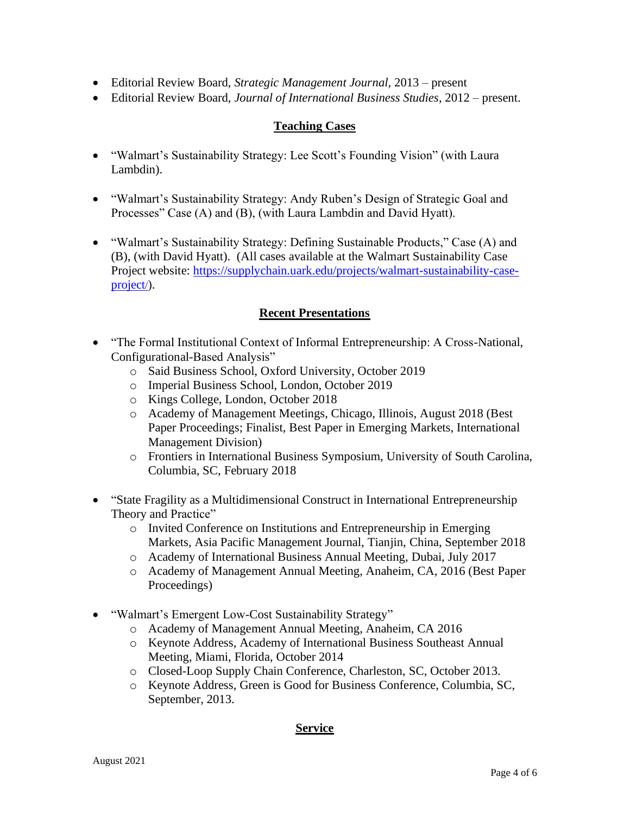- Editorial Review Board, *Strategic Management Journal,* 2013 present
- Editorial Review Board, *Journal of International Business Studies*, 2012 present.

## **Teaching Cases**

- "Walmart's Sustainability Strategy: Lee Scott's Founding Vision" (with Laura Lambdin).
- "Walmart's Sustainability Strategy: Andy Ruben's Design of Strategic Goal and Processes" Case (A) and (B), (with Laura Lambdin and David Hyatt).
- "Walmart's Sustainability Strategy: Defining Sustainable Products," Case (A) and (B), (with David Hyatt). (All cases available at the Walmart Sustainability Case Project website: [https://supplychain.uark.edu/projects/walmart-sustainability-case](https://supplychain.uark.edu/projects/walmart-sustainability-case-project/)[project](https://supplychain.uark.edu/projects/walmart-sustainability-case-project/)/).

### **Recent Presentations**

- "The Formal Institutional Context of Informal Entrepreneurship: A Cross-National, Configurational-Based Analysis"
	- o Said Business School, Oxford University, October 2019
	- o Imperial Business School, London, October 2019
	- o Kings College, London, October 2018
	- o Academy of Management Meetings, Chicago, Illinois, August 2018 (Best Paper Proceedings; Finalist, Best Paper in Emerging Markets, International Management Division)
	- o Frontiers in International Business Symposium, University of South Carolina, Columbia, SC, February 2018
- "State Fragility as a Multidimensional Construct in International Entrepreneurship Theory and Practice"
	- o Invited Conference on Institutions and Entrepreneurship in Emerging Markets, Asia Pacific Management Journal, Tianjin, China, September 2018
	- o Academy of International Business Annual Meeting, Dubai, July 2017
	- o Academy of Management Annual Meeting, Anaheim, CA, 2016 (Best Paper Proceedings)
- "Walmart's Emergent Low-Cost Sustainability Strategy"
	- o Academy of Management Annual Meeting, Anaheim, CA 2016
	- o Keynote Address, Academy of International Business Southeast Annual Meeting, Miami, Florida, October 2014
	- o Closed-Loop Supply Chain Conference, Charleston, SC, October 2013.
	- o Keynote Address, Green is Good for Business Conference, Columbia, SC, September, 2013.

### **Service**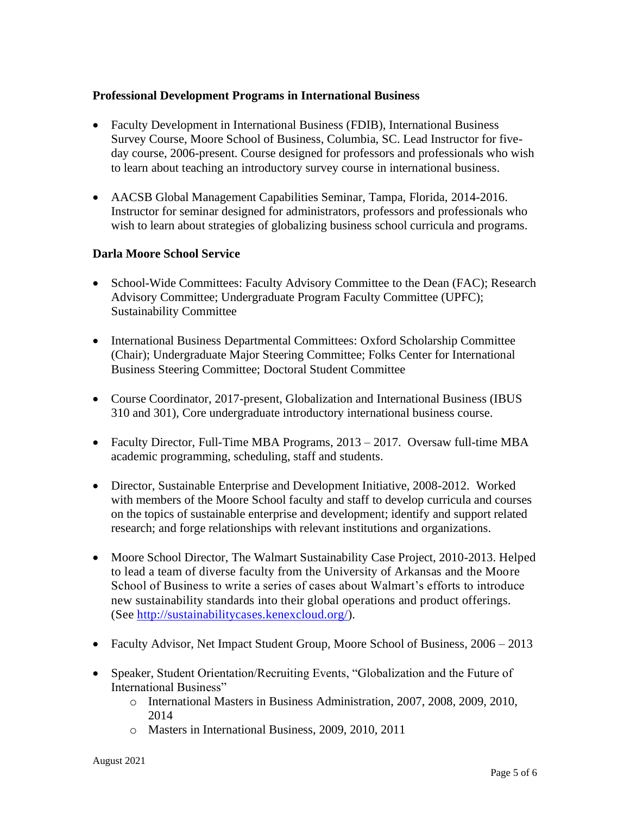### **Professional Development Programs in International Business**

- Faculty Development in International Business (FDIB), International Business Survey Course, Moore School of Business, Columbia, SC. Lead Instructor for fiveday course, 2006-present. Course designed for professors and professionals who wish to learn about teaching an introductory survey course in international business.
- AACSB Global Management Capabilities Seminar, Tampa, Florida, 2014-2016. Instructor for seminar designed for administrators, professors and professionals who wish to learn about strategies of globalizing business school curricula and programs.

### **Darla Moore School Service**

- School-Wide Committees: Faculty Advisory Committee to the Dean (FAC); Research Advisory Committee; Undergraduate Program Faculty Committee (UPFC); Sustainability Committee
- International Business Departmental Committees: Oxford Scholarship Committee (Chair); Undergraduate Major Steering Committee; Folks Center for International Business Steering Committee; Doctoral Student Committee
- Course Coordinator, 2017-present, Globalization and International Business (IBUS 310 and 301), Core undergraduate introductory international business course.
- Faculty Director, Full-Time MBA Programs, 2013 2017. Oversaw full-time MBA academic programming, scheduling, staff and students.
- Director, Sustainable Enterprise and Development Initiative, 2008-2012. Worked with members of the Moore School faculty and staff to develop curricula and courses on the topics of sustainable enterprise and development; identify and support related research; and forge relationships with relevant institutions and organizations.
- Moore School Director, The Walmart Sustainability Case Project, 2010-2013. Helped to lead a team of diverse faculty from the University of Arkansas and the Moore School of Business to write a series of cases about Walmart's efforts to introduce new sustainability standards into their global operations and product offerings. (See [http://sustainabilitycases.kenexcloud.org/\)](http://sustainabilitycases.kenexcloud.org/).
- Faculty Advisor, Net Impact Student Group, Moore School of Business, 2006 2013
- Speaker, Student Orientation/Recruiting Events, "Globalization and the Future of International Business"
	- o International Masters in Business Administration, 2007, 2008, 2009, 2010, 2014
	- o Masters in International Business, 2009, 2010, 2011